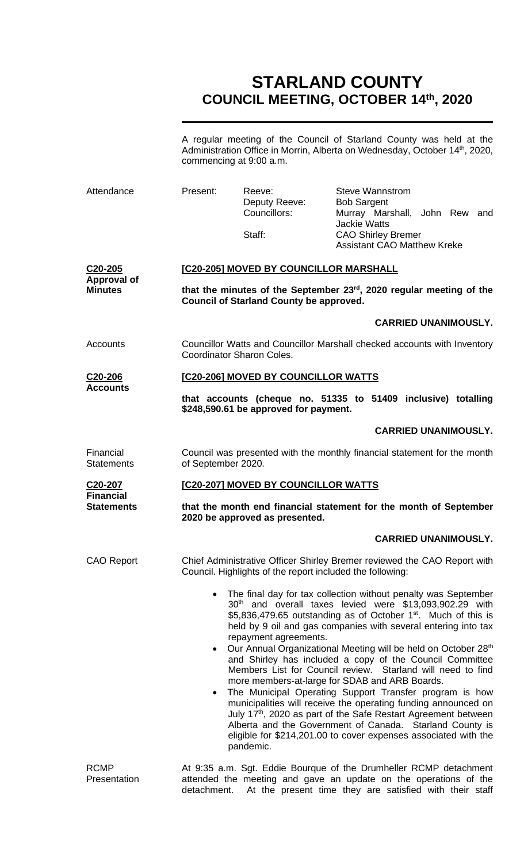# **STARLAND COUNTY COUNCIL MEETING, OCTOBER 14th, 2020**

A regular meeting of the Council of Starland County was held at the Administration Office in Morrin, Alberta on Wednesday, October 14<sup>th</sup>, 2020, commencing at 9:00 a.m.

| Attendance                                                    | Present:                                                                                                                              | Reeve:<br>Deputy Reeve:<br>Councillors:<br>Staff: | <b>Steve Wannstrom</b><br><b>Bob Sargent</b><br>Murray Marshall, John Rew and<br><b>Jackie Watts</b><br><b>CAO Shirley Bremer</b><br><b>Assistant CAO Matthew Kreke</b>                                                                                                                                                                                                                                                                                                                                                                                                                                                                                                                                                                                                                                                                                              |  |  |
|---------------------------------------------------------------|---------------------------------------------------------------------------------------------------------------------------------------|---------------------------------------------------|----------------------------------------------------------------------------------------------------------------------------------------------------------------------------------------------------------------------------------------------------------------------------------------------------------------------------------------------------------------------------------------------------------------------------------------------------------------------------------------------------------------------------------------------------------------------------------------------------------------------------------------------------------------------------------------------------------------------------------------------------------------------------------------------------------------------------------------------------------------------|--|--|
| C20-205<br><b>Approval of</b><br><b>Minutes</b>               | [C20-205] MOVED BY COUNCILLOR MARSHALL                                                                                                |                                                   |                                                                                                                                                                                                                                                                                                                                                                                                                                                                                                                                                                                                                                                                                                                                                                                                                                                                      |  |  |
|                                                               | that the minutes of the September 23 <sup>rd</sup> , 2020 regular meeting of the<br><b>Council of Starland County be approved.</b>    |                                                   |                                                                                                                                                                                                                                                                                                                                                                                                                                                                                                                                                                                                                                                                                                                                                                                                                                                                      |  |  |
|                                                               |                                                                                                                                       |                                                   | <b>CARRIED UNANIMOUSLY.</b>                                                                                                                                                                                                                                                                                                                                                                                                                                                                                                                                                                                                                                                                                                                                                                                                                                          |  |  |
| Accounts                                                      | Councillor Watts and Councillor Marshall checked accounts with Inventory<br>Coordinator Sharon Coles.                                 |                                                   |                                                                                                                                                                                                                                                                                                                                                                                                                                                                                                                                                                                                                                                                                                                                                                                                                                                                      |  |  |
| C <sub>20</sub> -206<br><b>Accounts</b>                       | [C20-206] MOVED BY COUNCILLOR WATTS                                                                                                   |                                                   |                                                                                                                                                                                                                                                                                                                                                                                                                                                                                                                                                                                                                                                                                                                                                                                                                                                                      |  |  |
|                                                               |                                                                                                                                       | \$248,590.61 be approved for payment.             | that accounts (cheque no. 51335 to 51409 inclusive) totalling                                                                                                                                                                                                                                                                                                                                                                                                                                                                                                                                                                                                                                                                                                                                                                                                        |  |  |
|                                                               |                                                                                                                                       |                                                   | <b>CARRIED UNANIMOUSLY.</b>                                                                                                                                                                                                                                                                                                                                                                                                                                                                                                                                                                                                                                                                                                                                                                                                                                          |  |  |
| Financial<br><b>Statements</b>                                | of September 2020.                                                                                                                    |                                                   | Council was presented with the monthly financial statement for the month                                                                                                                                                                                                                                                                                                                                                                                                                                                                                                                                                                                                                                                                                                                                                                                             |  |  |
| C <sub>20</sub> -207<br><b>Financial</b><br><b>Statements</b> | [C20-207] MOVED BY COUNCILLOR WATTS                                                                                                   |                                                   |                                                                                                                                                                                                                                                                                                                                                                                                                                                                                                                                                                                                                                                                                                                                                                                                                                                                      |  |  |
|                                                               | that the month end financial statement for the month of September<br>2020 be approved as presented.                                   |                                                   |                                                                                                                                                                                                                                                                                                                                                                                                                                                                                                                                                                                                                                                                                                                                                                                                                                                                      |  |  |
|                                                               |                                                                                                                                       |                                                   | <b>CARRIED UNANIMOUSLY.</b>                                                                                                                                                                                                                                                                                                                                                                                                                                                                                                                                                                                                                                                                                                                                                                                                                                          |  |  |
| <b>CAO Report</b>                                             | Chief Administrative Officer Shirley Bremer reviewed the CAO Report with<br>Council. Highlights of the report included the following: |                                                   |                                                                                                                                                                                                                                                                                                                                                                                                                                                                                                                                                                                                                                                                                                                                                                                                                                                                      |  |  |
|                                                               | $\bullet$                                                                                                                             | repayment agreements.<br>pandemic.                | The final day for tax collection without penalty was September<br>30 <sup>th</sup> and overall taxes levied were \$13,093,902.29 with<br>\$5,836,479.65 outstanding as of October $1st$ . Much of this is<br>held by 9 oil and gas companies with several entering into tax<br>Our Annual Organizational Meeting will be held on October 28th<br>and Shirley has included a copy of the Council Committee<br>Members List for Council review. Starland will need to find<br>more members-at-large for SDAB and ARB Boards.<br>The Municipal Operating Support Transfer program is how<br>municipalities will receive the operating funding announced on<br>July 17 <sup>th</sup> , 2020 as part of the Safe Restart Agreement between<br>Alberta and the Government of Canada. Starland County is<br>eligible for \$214,201.00 to cover expenses associated with the |  |  |
| <b>RCMP</b><br>Presentation                                   |                                                                                                                                       |                                                   | At 9:35 a.m. Sgt. Eddie Bourque of the Drumheller RCMP detachment<br>attended the meeting and gave an update on the operations of the                                                                                                                                                                                                                                                                                                                                                                                                                                                                                                                                                                                                                                                                                                                                |  |  |

detachment. At the present time they are satisfied with their staff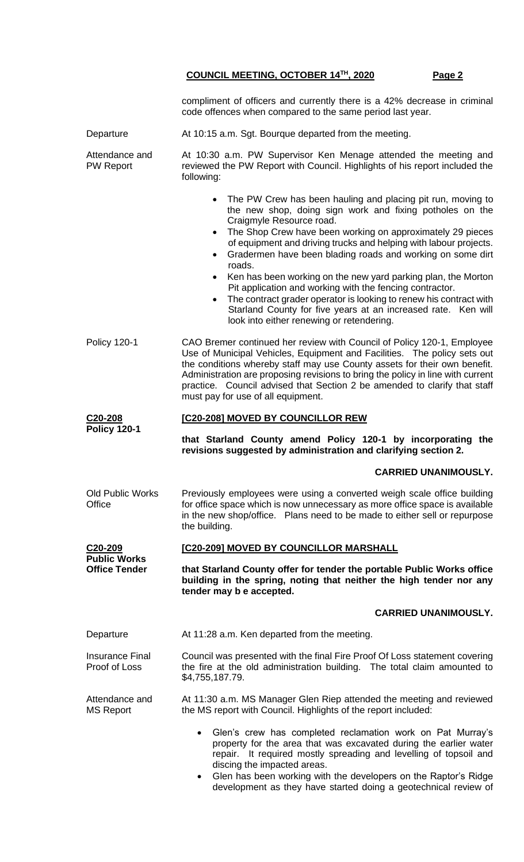|                                             | compliment of officers and currently there is a 42% decrease in criminal<br>code offences when compared to the same period last year.                                                                                                                                                                                                                                                                                                                                                                                                                                                                                                                                                                                               |  |  |
|---------------------------------------------|-------------------------------------------------------------------------------------------------------------------------------------------------------------------------------------------------------------------------------------------------------------------------------------------------------------------------------------------------------------------------------------------------------------------------------------------------------------------------------------------------------------------------------------------------------------------------------------------------------------------------------------------------------------------------------------------------------------------------------------|--|--|
| Departure                                   | At 10:15 a.m. Sgt. Bourque departed from the meeting.                                                                                                                                                                                                                                                                                                                                                                                                                                                                                                                                                                                                                                                                               |  |  |
| Attendance and<br><b>PW Report</b>          | At 10:30 a.m. PW Supervisor Ken Menage attended the meeting and<br>reviewed the PW Report with Council. Highlights of his report included the<br>following:                                                                                                                                                                                                                                                                                                                                                                                                                                                                                                                                                                         |  |  |
|                                             | The PW Crew has been hauling and placing pit run, moving to<br>$\bullet$<br>the new shop, doing sign work and fixing potholes on the<br>Craigmyle Resource road.<br>The Shop Crew have been working on approximately 29 pieces<br>$\bullet$<br>of equipment and driving trucks and helping with labour projects.<br>Gradermen have been blading roads and working on some dirt<br>$\bullet$<br>roads.<br>Ken has been working on the new yard parking plan, the Morton<br>$\bullet$<br>Pit application and working with the fencing contractor.<br>The contract grader operator is looking to renew his contract with<br>Starland County for five years at an increased rate. Ken will<br>look into either renewing or retendering. |  |  |
| <b>Policy 120-1</b>                         | CAO Bremer continued her review with Council of Policy 120-1, Employee<br>Use of Municipal Vehicles, Equipment and Facilities. The policy sets out<br>the conditions whereby staff may use County assets for their own benefit.<br>Administration are proposing revisions to bring the policy in line with current<br>practice. Council advised that Section 2 be amended to clarify that staff<br>must pay for use of all equipment.                                                                                                                                                                                                                                                                                               |  |  |
| C20-208<br><b>Policy 120-1</b>              | [C20-208] MOVED BY COUNCILLOR REW                                                                                                                                                                                                                                                                                                                                                                                                                                                                                                                                                                                                                                                                                                   |  |  |
|                                             | that Starland County amend Policy 120-1 by incorporating the<br>revisions suggested by administration and clarifying section 2.                                                                                                                                                                                                                                                                                                                                                                                                                                                                                                                                                                                                     |  |  |
|                                             | <b>CARRIED UNANIMOUSLY.</b>                                                                                                                                                                                                                                                                                                                                                                                                                                                                                                                                                                                                                                                                                                         |  |  |
| <b>Old Public Works</b><br>Office           | Previously employees were using a converted weigh scale office building<br>for office space which is now unnecessary as more office space is available<br>in the new shop/office. Plans need to be made to either sell or repurpose<br>the building.                                                                                                                                                                                                                                                                                                                                                                                                                                                                                |  |  |
| C <sub>20</sub> -209                        | [C20-209] MOVED BY COUNCILLOR MARSHALL                                                                                                                                                                                                                                                                                                                                                                                                                                                                                                                                                                                                                                                                                              |  |  |
| <b>Public Works</b><br><b>Office Tender</b> | that Starland County offer for tender the portable Public Works office<br>building in the spring, noting that neither the high tender nor any<br>tender may b e accepted.                                                                                                                                                                                                                                                                                                                                                                                                                                                                                                                                                           |  |  |
|                                             | <b>CARRIED UNANIMOUSLY.</b>                                                                                                                                                                                                                                                                                                                                                                                                                                                                                                                                                                                                                                                                                                         |  |  |
| Departure                                   | At 11:28 a.m. Ken departed from the meeting.                                                                                                                                                                                                                                                                                                                                                                                                                                                                                                                                                                                                                                                                                        |  |  |
| <b>Insurance Final</b><br>Proof of Loss     | Council was presented with the final Fire Proof Of Loss statement covering<br>the fire at the old administration building. The total claim amounted to<br>\$4,755,187.79.                                                                                                                                                                                                                                                                                                                                                                                                                                                                                                                                                           |  |  |
| Attendance and<br><b>MS Report</b>          | At 11:30 a.m. MS Manager Glen Riep attended the meeting and reviewed<br>the MS report with Council. Highlights of the report included:                                                                                                                                                                                                                                                                                                                                                                                                                                                                                                                                                                                              |  |  |
|                                             | • Glen's crew has completed reclamation work on Pat Murray's<br>property for the area that was excavated during the earlier water<br>repair. It required mostly spreading and levelling of topsoil and<br>discing the impacted areas.<br>• Glen has been working with the developers on the Raptor's Ridge<br>development as they have started doing a geotechnical review of                                                                                                                                                                                                                                                                                                                                                       |  |  |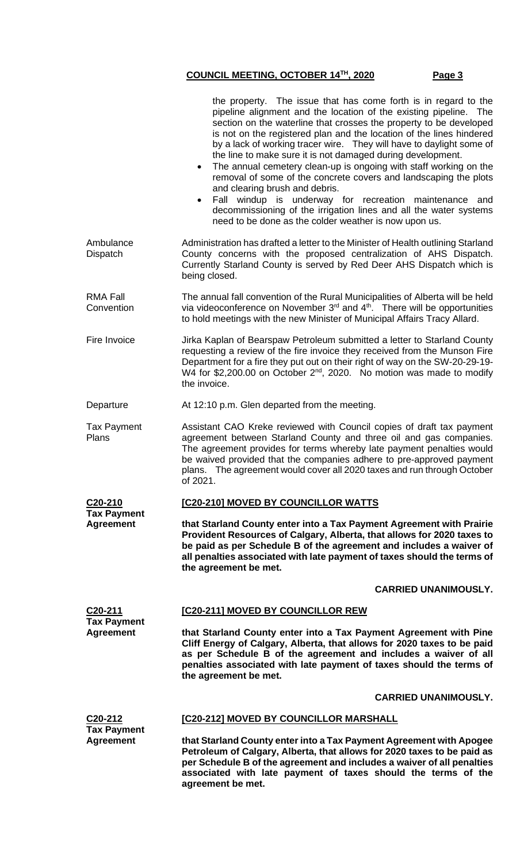|                                        | the property. The issue that has come forth is in regard to the<br>pipeline alignment and the location of the existing pipeline. The<br>section on the waterline that crosses the property to be developed<br>is not on the registered plan and the location of the lines hindered<br>by a lack of working tracer wire. They will have to daylight some of<br>the line to make sure it is not damaged during development.<br>The annual cemetery clean-up is ongoing with staff working on the<br>$\bullet$<br>removal of some of the concrete covers and landscaping the plots<br>and clearing brush and debris.<br>Fall windup is underway for recreation maintenance<br>and<br>decommissioning of the irrigation lines and all the water systems<br>need to be done as the colder weather is now upon us. |  |  |  |
|----------------------------------------|--------------------------------------------------------------------------------------------------------------------------------------------------------------------------------------------------------------------------------------------------------------------------------------------------------------------------------------------------------------------------------------------------------------------------------------------------------------------------------------------------------------------------------------------------------------------------------------------------------------------------------------------------------------------------------------------------------------------------------------------------------------------------------------------------------------|--|--|--|
| Ambulance<br>Dispatch                  | Administration has drafted a letter to the Minister of Health outlining Starland<br>County concerns with the proposed centralization of AHS Dispatch.<br>Currently Starland County is served by Red Deer AHS Dispatch which is<br>being closed.                                                                                                                                                                                                                                                                                                                                                                                                                                                                                                                                                              |  |  |  |
| <b>RMA Fall</b><br>Convention          | The annual fall convention of the Rural Municipalities of Alberta will be held<br>via videoconference on November 3 <sup>rd</sup> and 4 <sup>th</sup> . There will be opportunities<br>to hold meetings with the new Minister of Municipal Affairs Tracy Allard.                                                                                                                                                                                                                                                                                                                                                                                                                                                                                                                                             |  |  |  |
| Fire Invoice                           | Jirka Kaplan of Bearspaw Petroleum submitted a letter to Starland County<br>requesting a review of the fire invoice they received from the Munson Fire<br>Department for a fire they put out on their right of way on the SW-20-29-19-<br>W4 for \$2,200.00 on October 2 <sup>nd</sup> , 2020. No motion was made to modify<br>the invoice.                                                                                                                                                                                                                                                                                                                                                                                                                                                                  |  |  |  |
| Departure                              | At 12:10 p.m. Glen departed from the meeting.                                                                                                                                                                                                                                                                                                                                                                                                                                                                                                                                                                                                                                                                                                                                                                |  |  |  |
| <b>Tax Payment</b><br>Plans            | Assistant CAO Kreke reviewed with Council copies of draft tax payment<br>agreement between Starland County and three oil and gas companies.<br>The agreement provides for terms whereby late payment penalties would<br>be waived provided that the companies adhere to pre-approved payment<br>plans. The agreement would cover all 2020 taxes and run through October<br>of 2021.                                                                                                                                                                                                                                                                                                                                                                                                                          |  |  |  |
| C20-210                                | [C20-210] MOVED BY COUNCILLOR WATTS                                                                                                                                                                                                                                                                                                                                                                                                                                                                                                                                                                                                                                                                                                                                                                          |  |  |  |
| <b>Tax Payment</b><br><b>Agreement</b> | that Starland County enter into a Tax Payment Agreement with Prairie<br>Provident Resources of Calgary, Alberta, that allows for 2020 taxes to<br>be paid as per Schedule B of the agreement and includes a waiver of<br>all penalties associated with late payment of taxes should the terms of<br>the agreement be met.                                                                                                                                                                                                                                                                                                                                                                                                                                                                                    |  |  |  |
|                                        | <b>CARRIED UNANIMOUSLY.</b>                                                                                                                                                                                                                                                                                                                                                                                                                                                                                                                                                                                                                                                                                                                                                                                  |  |  |  |
| C <sub>20</sub> -211                   | <b>[C20-211] MOVED BY COUNCILLOR REW</b>                                                                                                                                                                                                                                                                                                                                                                                                                                                                                                                                                                                                                                                                                                                                                                     |  |  |  |
| <b>Tax Payment</b><br><b>Agreement</b> | that Starland County enter into a Tax Payment Agreement with Pine<br>Cliff Energy of Calgary, Alberta, that allows for 2020 taxes to be paid<br>as per Schedule B of the agreement and includes a waiver of all<br>penalties associated with late payment of taxes should the terms of<br>the agreement be met.                                                                                                                                                                                                                                                                                                                                                                                                                                                                                              |  |  |  |
|                                        | <b>CARRIED UNANIMOUSLY.</b>                                                                                                                                                                                                                                                                                                                                                                                                                                                                                                                                                                                                                                                                                                                                                                                  |  |  |  |
| $C20-212$                              | [C20-212] MOVED BY COUNCILLOR MARSHALL                                                                                                                                                                                                                                                                                                                                                                                                                                                                                                                                                                                                                                                                                                                                                                       |  |  |  |
| <b>Tax Payment</b><br><b>Agreement</b> | that Starland County enter into a Tax Payment Agreement with Apogee<br>Petroleum of Calgary, Alberta, that allows for 2020 taxes to be paid as<br>per Schedule B of the agreement and includes a waiver of all penalties<br>associated with late payment of taxes should the terms of the<br>agreement be met.                                                                                                                                                                                                                                                                                                                                                                                                                                                                                               |  |  |  |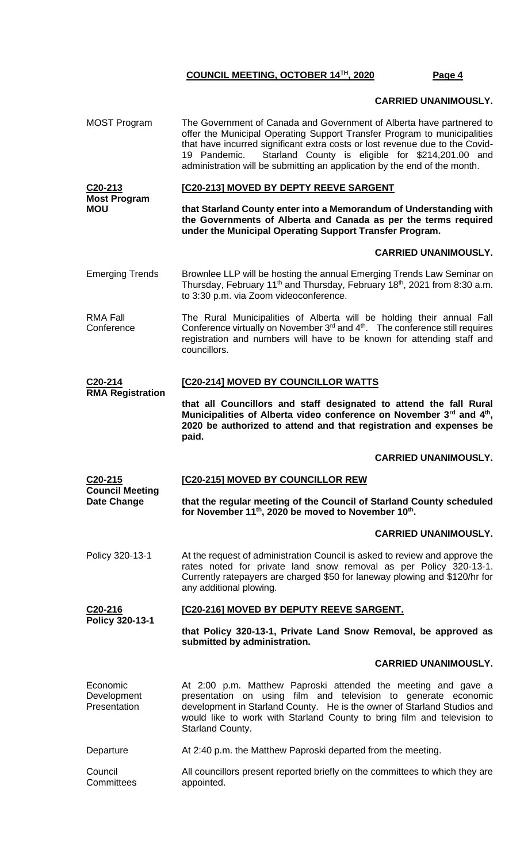## **CARRIED UNANIMOUSLY.**

MOST Program The Government of Canada and Government of Alberta have partnered to offer the Municipal Operating Support Transfer Program to municipalities that have incurred significant extra costs or lost revenue due to the Covid-19 Pandemic. Starland County is eligible for \$214,201.00 and administration will be submitting an application by the end of the month.

**C20-213 Most Program MOU [C20-213] MOVED BY DEPTY REEVE SARGENT that Starland County enter into a Memorandum of Understanding with the Governments of Alberta and Canada as per the terms required** 

**under the Municipal Operating Support Transfer Program.**

## **CARRIED UNANIMOUSLY.**

- Emerging Trends Brownlee LLP will be hosting the annual Emerging Trends Law Seminar on Thursday, February 11<sup>th</sup> and Thursday, February 18<sup>th</sup>, 2021 from 8:30 a.m. to 3:30 p.m. via Zoom videoconference.
- RMA Fall **Conference** The Rural Municipalities of Alberta will be holding their annual Fall Conference virtually on November  $3<sup>rd</sup>$  and  $4<sup>th</sup>$ . The conference still requires registration and numbers will have to be known for attending staff and councillors.

#### **C20-214 [C20-214] MOVED BY COUNCILLOR WATTS**

**RMA Registration**

**that all Councillors and staff designated to attend the fall Rural Municipalities of Alberta video conference on November 3rd and 4th , 2020 be authorized to attend and that registration and expenses be paid.**

## **CARRIED UNANIMOUSLY.**

### **C20-215 Council Meeting [C20-215] MOVED BY COUNCILLOR REW**

**Date Change that the regular meeting of the Council of Starland County scheduled for November 11th, 2020 be moved to November 10th .**

## **CARRIED UNANIMOUSLY.**

Policy 320-13-1 At the request of administration Council is asked to review and approve the rates noted for private land snow removal as per Policy 320-13-1. Currently ratepayers are charged \$50 for laneway plowing and \$120/hr for any additional plowing.

### **C20-216 Policy 320-13-1 [C20-216] MOVED BY DEPUTY REEVE SARGENT.**

**that Policy 320-13-1, Private Land Snow Removal, be approved as submitted by administration.**

## **CARRIED UNANIMOUSLY.**

| Economic<br>Development<br>Presentation | At 2:00 p.m. Matthew Paproski attended the meeting and gave a<br>presentation on using film and television to generate economic<br>development in Starland County. He is the owner of Starland Studios and<br>would like to work with Starland County to bring film and television to<br><b>Starland County.</b> |
|-----------------------------------------|------------------------------------------------------------------------------------------------------------------------------------------------------------------------------------------------------------------------------------------------------------------------------------------------------------------|
| Departure                               | At 2:40 p.m. the Matthew Paproski departed from the meeting.                                                                                                                                                                                                                                                     |
| Council                                 | All councillars procent reported briefly on the committees to which they are                                                                                                                                                                                                                                     |

Council **Committees** All councillors present reported briefly on the committees to which they are appointed.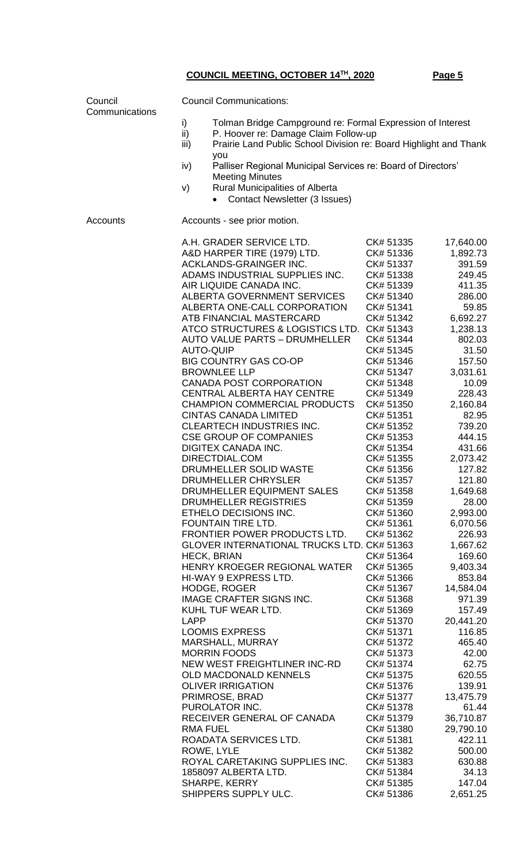| Council<br>Communications | <b>Council Communications:</b>                                                                                                                                                                                                                                                                                                                                                                                                                                                                                                                                                                                                                                                                                                                                                                                                                                                                                                                                                                                                                                                                                                                                                                                                                                                                                                   |                                                                                                                                                                                                                                                                                                                                                                                                                                                                                                                                                                                          |                                                                                                                                                                                                                                                                                                                                                                                                                                                                                                          |  |
|---------------------------|----------------------------------------------------------------------------------------------------------------------------------------------------------------------------------------------------------------------------------------------------------------------------------------------------------------------------------------------------------------------------------------------------------------------------------------------------------------------------------------------------------------------------------------------------------------------------------------------------------------------------------------------------------------------------------------------------------------------------------------------------------------------------------------------------------------------------------------------------------------------------------------------------------------------------------------------------------------------------------------------------------------------------------------------------------------------------------------------------------------------------------------------------------------------------------------------------------------------------------------------------------------------------------------------------------------------------------|------------------------------------------------------------------------------------------------------------------------------------------------------------------------------------------------------------------------------------------------------------------------------------------------------------------------------------------------------------------------------------------------------------------------------------------------------------------------------------------------------------------------------------------------------------------------------------------|----------------------------------------------------------------------------------------------------------------------------------------------------------------------------------------------------------------------------------------------------------------------------------------------------------------------------------------------------------------------------------------------------------------------------------------------------------------------------------------------------------|--|
|                           | Tolman Bridge Campground re: Formal Expression of Interest<br>i)<br>ii)<br>P. Hoover re: Damage Claim Follow-up<br>Prairie Land Public School Division re: Board Highlight and Thank<br>iii)                                                                                                                                                                                                                                                                                                                                                                                                                                                                                                                                                                                                                                                                                                                                                                                                                                                                                                                                                                                                                                                                                                                                     |                                                                                                                                                                                                                                                                                                                                                                                                                                                                                                                                                                                          |                                                                                                                                                                                                                                                                                                                                                                                                                                                                                                          |  |
|                           | you<br>Palliser Regional Municipal Services re: Board of Directors'<br>iv)                                                                                                                                                                                                                                                                                                                                                                                                                                                                                                                                                                                                                                                                                                                                                                                                                                                                                                                                                                                                                                                                                                                                                                                                                                                       |                                                                                                                                                                                                                                                                                                                                                                                                                                                                                                                                                                                          |                                                                                                                                                                                                                                                                                                                                                                                                                                                                                                          |  |
|                           | <b>Meeting Minutes</b><br><b>Rural Municipalities of Alberta</b><br>V)<br><b>Contact Newsletter (3 Issues)</b>                                                                                                                                                                                                                                                                                                                                                                                                                                                                                                                                                                                                                                                                                                                                                                                                                                                                                                                                                                                                                                                                                                                                                                                                                   |                                                                                                                                                                                                                                                                                                                                                                                                                                                                                                                                                                                          |                                                                                                                                                                                                                                                                                                                                                                                                                                                                                                          |  |
| Accounts                  | Accounts - see prior motion.                                                                                                                                                                                                                                                                                                                                                                                                                                                                                                                                                                                                                                                                                                                                                                                                                                                                                                                                                                                                                                                                                                                                                                                                                                                                                                     |                                                                                                                                                                                                                                                                                                                                                                                                                                                                                                                                                                                          |                                                                                                                                                                                                                                                                                                                                                                                                                                                                                                          |  |
|                           | A.H. GRADER SERVICE LTD.<br>A&D HARPER TIRE (1979) LTD.<br>ACKLANDS-GRAINGER INC.<br>ADAMS INDUSTRIAL SUPPLIES INC.<br>AIR LIQUIDE CANADA INC.<br>ALBERTA GOVERNMENT SERVICES<br>ALBERTA ONE-CALL CORPORATION<br>ATB FINANCIAL MASTERCARD<br>ATCO STRUCTURES & LOGISTICS LTD. CK# 51343<br><b>AUTO VALUE PARTS - DRUMHELLER</b><br><b>AUTO-QUIP</b><br><b>BIG COUNTRY GAS CO-OP</b><br><b>BROWNLEE LLP</b><br><b>CANADA POST CORPORATION</b><br><b>CENTRAL ALBERTA HAY CENTRE</b><br><b>CHAMPION COMMERCIAL PRODUCTS</b><br><b>CINTAS CANADA LIMITED</b><br>CLEARTECH INDUSTRIES INC.<br><b>CSE GROUP OF COMPANIES</b><br>DIGITEX CANADA INC.<br>DIRECTDIAL.COM<br>DRUMHELLER SOLID WASTE<br>DRUMHELLER CHRYSLER<br>DRUMHELLER EQUIPMENT SALES<br>DRUMHELLER REGISTRIES<br>ETHELO DECISIONS INC.<br>FOUNTAIN TIRE LTD.<br>FRONTIER POWER PRODUCTS LTD.<br>GLOVER INTERNATIONAL TRUCKS LTD. CK# 51363<br><b>HECK, BRIAN</b><br>HENRY KROEGER REGIONAL WATER<br>HI-WAY 9 EXPRESS LTD.<br><b>HODGE, ROGER</b><br>IMAGE CRAFTER SIGNS INC.<br>KUHL TUF WEAR LTD.<br><b>LAPP</b><br><b>LOOMIS EXPRESS</b><br>MARSHALL, MURRAY<br><b>MORRIN FOODS</b><br>NEW WEST FREIGHTLINER INC-RD<br><b>OLD MACDONALD KENNELS</b><br><b>OLIVER IRRIGATION</b><br>PRIMROSE, BRAD<br>PUROLATOR INC.<br>RECEIVER GENERAL OF CANADA<br><b>RMA FUEL</b> | CK# 51335<br>CK# 51336<br>CK# 51337<br>CK# 51338<br>CK# 51339<br>CK# 51340<br>CK# 51341<br>CK# 51342<br>CK# 51344<br>CK# 51345<br>CK# 51346<br>CK# 51347<br>CK# 51348<br>CK# 51349<br>CK# 51350<br>CK# 51351<br>CK# 51352<br>CK# 51353<br>CK# 51354<br>CK# 51355<br>CK# 51356<br>CK# 51357<br>CK# 51358<br>CK# 51359<br>CK# 51360<br>CK# 51361<br>CK# 51362<br>CK# 51364<br>CK# 51365<br>CK# 51366<br>CK# 51367<br>CK# 51368<br>CK# 51369<br>CK# 51370<br>CK# 51371<br>CK# 51372<br>CK# 51373<br>CK# 51374<br>CK# 51375<br>CK# 51376<br>CK# 51377<br>CK# 51378<br>CK# 51379<br>CK# 51380 | 17,640.00<br>1,892.73<br>391.59<br>249.45<br>411.35<br>286.00<br>59.85<br>6,692.27<br>1,238.13<br>802.03<br>31.50<br>157.50<br>3,031.61<br>10.09<br>228.43<br>2,160.84<br>82.95<br>739.20<br>444.15<br>431.66<br>2,073.42<br>127.82<br>121.80<br>1,649.68<br>28.00<br>2,993.00<br>6,070.56<br>226.93<br>1,667.62<br>169.60<br>9,403.34<br>853.84<br>14,584.04<br>971.39<br>157.49<br>20,441.20<br>116.85<br>465.40<br>42.00<br>62.75<br>620.55<br>139.91<br>13,475.79<br>61.44<br>36,710.87<br>29,790.10 |  |
|                           | ROADATA SERVICES LTD.<br>ROWE, LYLE<br>ROYAL CARETAKING SUPPLIES INC.                                                                                                                                                                                                                                                                                                                                                                                                                                                                                                                                                                                                                                                                                                                                                                                                                                                                                                                                                                                                                                                                                                                                                                                                                                                            | CK# 51381<br>CK# 51382<br>CK# 51383                                                                                                                                                                                                                                                                                                                                                                                                                                                                                                                                                      | 422.11<br>500.00<br>630.88                                                                                                                                                                                                                                                                                                                                                                                                                                                                               |  |
|                           | 1858097 ALBERTA LTD.                                                                                                                                                                                                                                                                                                                                                                                                                                                                                                                                                                                                                                                                                                                                                                                                                                                                                                                                                                                                                                                                                                                                                                                                                                                                                                             | CK# 51384                                                                                                                                                                                                                                                                                                                                                                                                                                                                                                                                                                                | 34.13                                                                                                                                                                                                                                                                                                                                                                                                                                                                                                    |  |
|                           | SHARPE, KERRY<br>SHIPPERS SUPPLY ULC.                                                                                                                                                                                                                                                                                                                                                                                                                                                                                                                                                                                                                                                                                                                                                                                                                                                                                                                                                                                                                                                                                                                                                                                                                                                                                            | CK# 51385<br>CK# 51386                                                                                                                                                                                                                                                                                                                                                                                                                                                                                                                                                                   | 147.04<br>2,651.25                                                                                                                                                                                                                                                                                                                                                                                                                                                                                       |  |